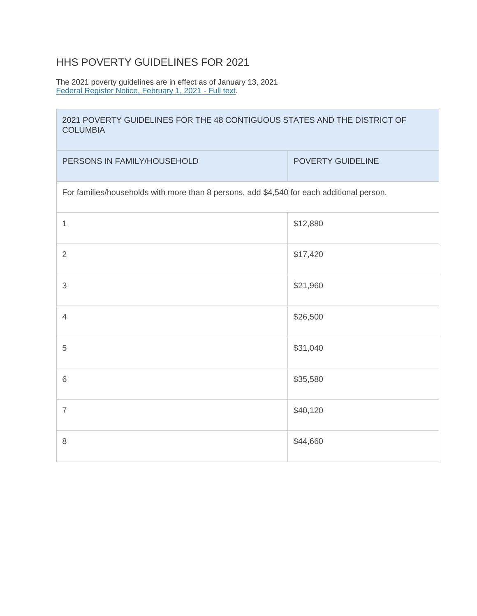## HHS POVERTY GUIDELINES FOR 2021

The 2021 poverty guidelines are in effect as of January 13, 2021 [Federal Register Notice, February 1, 2021 -](https://www.federalregister.gov/documents/2021/02/01/2021-01969/annual-update-of-the-hhs-poverty-guidelines) Full text.

## 2021 POVERTY GUIDELINES FOR THE 48 CONTIGUOUS STATES AND THE DISTRICT OF **COLUMBIA**

| PERSONS IN FAMILY/HOUSEHOLD                                                               | POVERTY GUIDELINE |  |
|-------------------------------------------------------------------------------------------|-------------------|--|
| For families/households with more than 8 persons, add \$4,540 for each additional person. |                   |  |
| 1                                                                                         | \$12,880          |  |
| $\overline{2}$                                                                            | \$17,420          |  |
| $\mathfrak{S}$                                                                            | \$21,960          |  |
| $\overline{4}$                                                                            | \$26,500          |  |
| 5                                                                                         | \$31,040          |  |
| $6\,$                                                                                     | \$35,580          |  |
| $\overline{7}$                                                                            | \$40,120          |  |
| $\,8\,$                                                                                   | \$44,660          |  |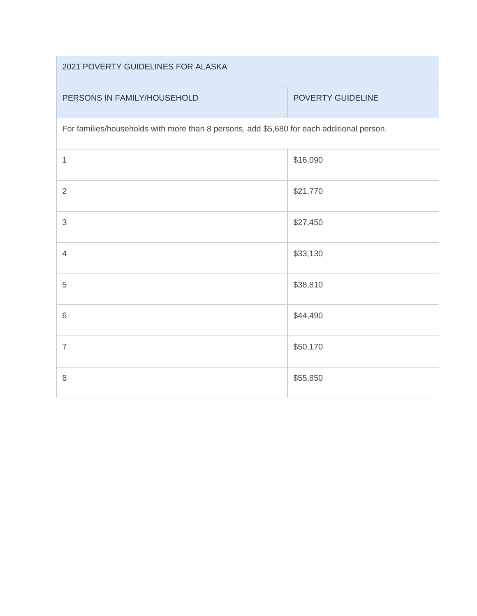| 2021 POVERTY GUIDELINES FOR ALASKA |
|------------------------------------|
|------------------------------------|

| PERSONS IN FAMILY/HOUSEHOLD |  |  |  |
|-----------------------------|--|--|--|
|-----------------------------|--|--|--|

## POVERTY GUIDELINE

For families/households with more than 8 persons, add \$5,680 for each additional person.

| $\mathbf 1$    | \$16,090 |
|----------------|----------|
| $\sqrt{2}$     | \$21,770 |
| $\sqrt{3}$     | \$27,450 |
| $\overline{4}$ | \$33,130 |
| $\sqrt{5}$     | \$38,810 |
| $\,6\,$        | \$44,490 |
| $\overline{7}$ | \$50,170 |
| $\,8\,$        | \$55,850 |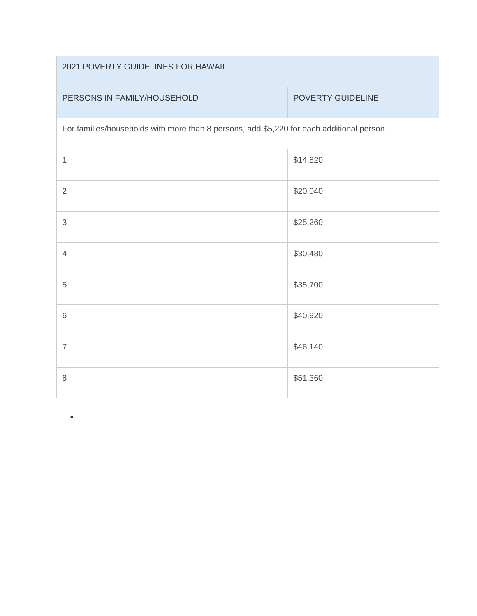| 2021 POVERTY GUIDELINES FOR HAWAII                                                        |                          |  |
|-------------------------------------------------------------------------------------------|--------------------------|--|
| PERSONS IN FAMILY/HOUSEHOLD                                                               | <b>POVERTY GUIDELINE</b> |  |
| For families/households with more than 8 persons, add \$5,220 for each additional person. |                          |  |
| 1                                                                                         | \$14,820                 |  |
| $\overline{2}$                                                                            | \$20,040                 |  |
| $\mathfrak{S}$                                                                            | \$25,260                 |  |
| $\overline{4}$                                                                            | \$30,480                 |  |
| 5                                                                                         | \$35,700                 |  |
| 6                                                                                         | \$40,920                 |  |
| $\overline{7}$                                                                            | \$46,140                 |  |
| 8                                                                                         | \$51,360                 |  |

•